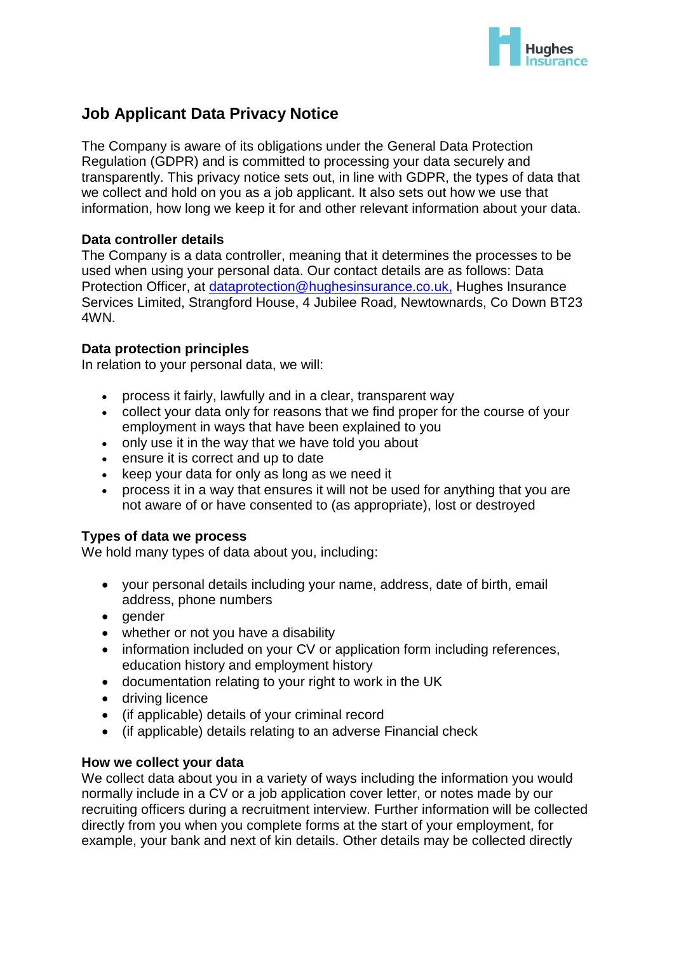

# **Job Applicant Data Privacy Notice**

The Company is aware of its obligations under the General Data Protection Regulation (GDPR) and is committed to processing your data securely and transparently. This privacy notice sets out, in line with GDPR, the types of data that we collect and hold on you as a job applicant. It also sets out how we use that information, how long we keep it for and other relevant information about your data.

# **Data controller details**

The Company is a data controller, meaning that it determines the processes to be used when using your personal data. Our contact details are as follows: Data Protection Officer, at [dataprotection@hughesinsurance.co.uk,](mailto:dataprotection@hughesinsurance.co.uk) Hughes Insurance Services Limited, Strangford House, 4 Jubilee Road, Newtownards, Co Down BT23 4WN.

## **Data protection principles**

In relation to your personal data, we will:

- process it fairly, lawfully and in a clear, transparent way
- collect your data only for reasons that we find proper for the course of your employment in ways that have been explained to you
- only use it in the way that we have told you about
- ensure it is correct and up to date
- $\cdot$  keep your data for only as long as we need it
- process it in a way that ensures it will not be used for anything that you are not aware of or have consented to (as appropriate), lost or destroyed

#### **Types of data we process**

We hold many types of data about you, including:

- your personal details including your name, address, date of birth, email address, phone numbers
- gender
- whether or not you have a disability
- information included on your CV or application form including references, education history and employment history
- documentation relating to your right to work in the UK
- driving licence
- (if applicable) details of your criminal record
- (if applicable) details relating to an adverse Financial check

#### **How we collect your data**

We collect data about you in a variety of ways including the information you would normally include in a CV or a job application cover letter, or notes made by our recruiting officers during a recruitment interview. Further information will be collected directly from you when you complete forms at the start of your employment, for example, your bank and next of kin details. Other details may be collected directly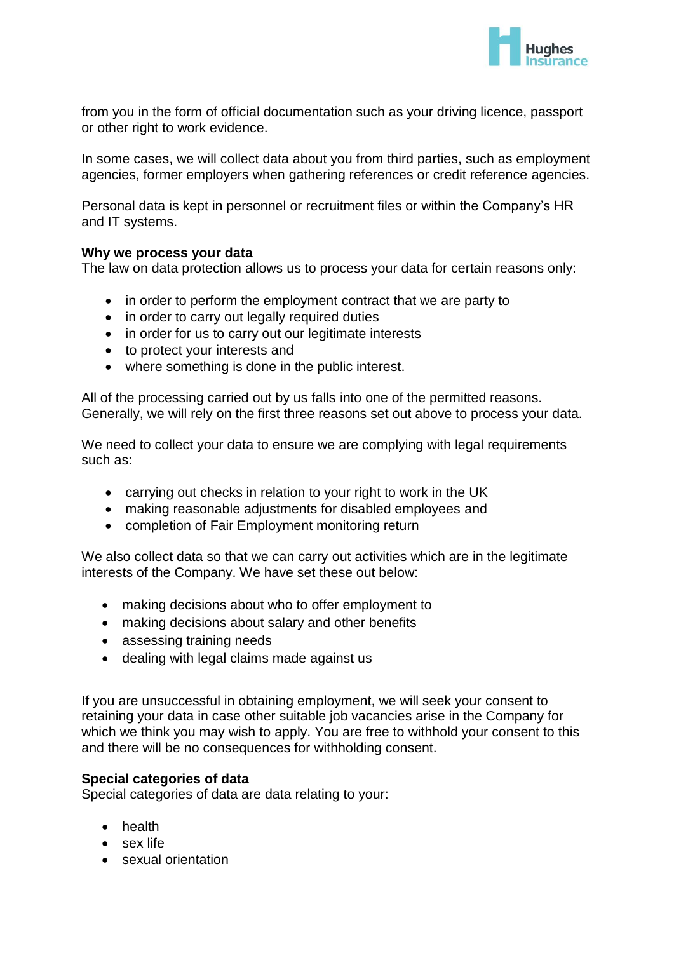

from you in the form of official documentation such as your driving licence, passport or other right to work evidence.

In some cases, we will collect data about you from third parties, such as employment agencies, former employers when gathering references or credit reference agencies.

Personal data is kept in personnel or recruitment files or within the Company's HR and IT systems.

## **Why we process your data**

The law on data protection allows us to process your data for certain reasons only:

- in order to perform the employment contract that we are party to
- in order to carry out legally required duties
- in order for us to carry out our legitimate interests
- to protect your interests and
- where something is done in the public interest.

All of the processing carried out by us falls into one of the permitted reasons. Generally, we will rely on the first three reasons set out above to process your data.

We need to collect your data to ensure we are complying with legal requirements such as:

- carrying out checks in relation to your right to work in the UK
- making reasonable adjustments for disabled employees and
- completion of Fair Employment monitoring return

We also collect data so that we can carry out activities which are in the legitimate interests of the Company. We have set these out below:

- making decisions about who to offer employment to
- making decisions about salary and other benefits
- assessing training needs
- dealing with legal claims made against us

If you are unsuccessful in obtaining employment, we will seek your consent to retaining your data in case other suitable job vacancies arise in the Company for which we think you may wish to apply. You are free to withhold your consent to this and there will be no consequences for withholding consent.

#### **Special categories of data**

Special categories of data are data relating to your:

- health
- sex life
- sexual orientation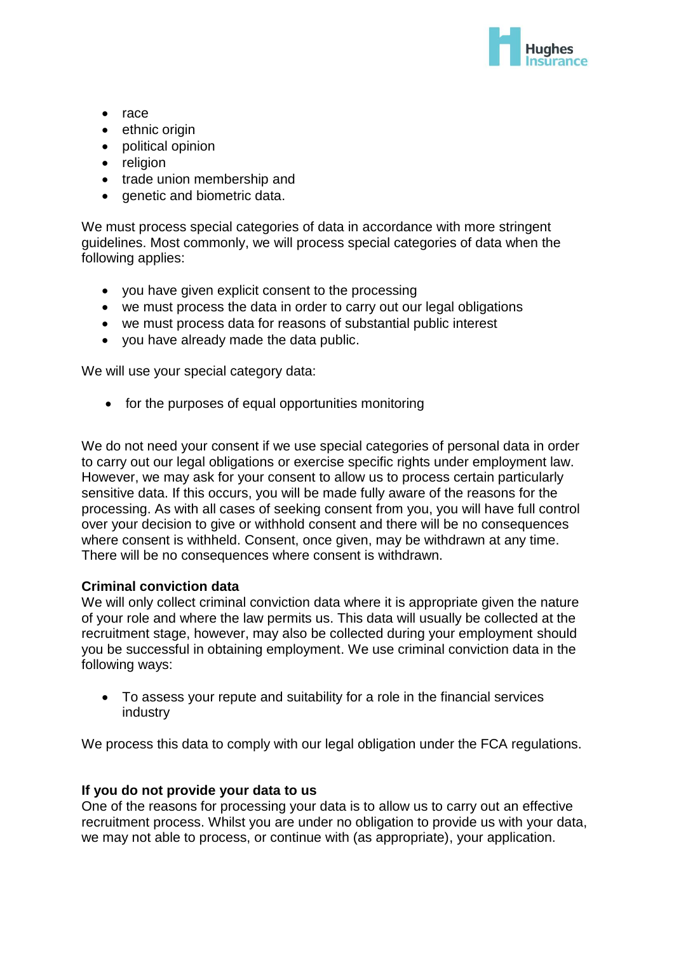

- $\bullet$  race
- ethnic origin
- political opinion
- religion
- trade union membership and
- genetic and biometric data.

We must process special categories of data in accordance with more stringent guidelines. Most commonly, we will process special categories of data when the following applies:

- you have given explicit consent to the processing
- we must process the data in order to carry out our legal obligations
- we must process data for reasons of substantial public interest
- you have already made the data public.

We will use your special category data:

• for the purposes of equal opportunities monitoring

We do not need your consent if we use special categories of personal data in order to carry out our legal obligations or exercise specific rights under employment law. However, we may ask for your consent to allow us to process certain particularly sensitive data. If this occurs, you will be made fully aware of the reasons for the processing. As with all cases of seeking consent from you, you will have full control over your decision to give or withhold consent and there will be no consequences where consent is withheld. Consent, once given, may be withdrawn at any time. There will be no consequences where consent is withdrawn.

# **Criminal conviction data**

We will only collect criminal conviction data where it is appropriate given the nature of your role and where the law permits us. This data will usually be collected at the recruitment stage, however, may also be collected during your employment should you be successful in obtaining employment. We use criminal conviction data in the following ways:

 To assess your repute and suitability for a role in the financial services industry

We process this data to comply with our legal obligation under the FCA regulations.

# **If you do not provide your data to us**

One of the reasons for processing your data is to allow us to carry out an effective recruitment process. Whilst you are under no obligation to provide us with your data, we may not able to process, or continue with (as appropriate), your application.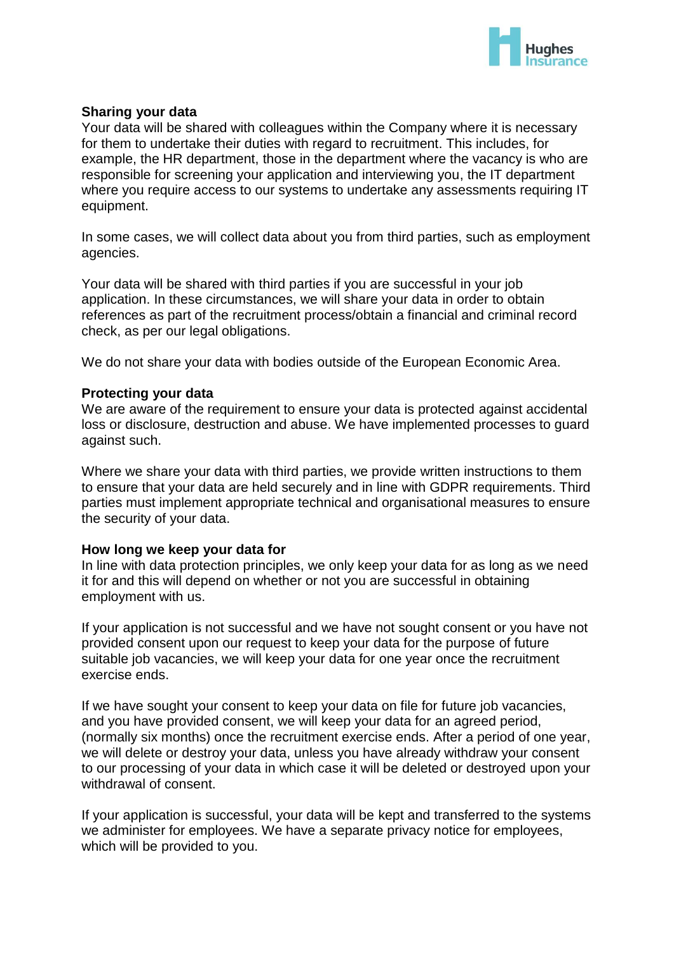

## **Sharing your data**

Your data will be shared with colleagues within the Company where it is necessary for them to undertake their duties with regard to recruitment. This includes, for example, the HR department, those in the department where the vacancy is who are responsible for screening your application and interviewing you, the IT department where you require access to our systems to undertake any assessments requiring IT equipment.

In some cases, we will collect data about you from third parties, such as employment agencies.

Your data will be shared with third parties if you are successful in your job application. In these circumstances, we will share your data in order to obtain references as part of the recruitment process/obtain a financial and criminal record check, as per our legal obligations.

We do not share your data with bodies outside of the European Economic Area.

#### **Protecting your data**

We are aware of the requirement to ensure your data is protected against accidental loss or disclosure, destruction and abuse. We have implemented processes to guard against such.

Where we share your data with third parties, we provide written instructions to them to ensure that your data are held securely and in line with GDPR requirements. Third parties must implement appropriate technical and organisational measures to ensure the security of your data.

#### **How long we keep your data for**

In line with data protection principles, we only keep your data for as long as we need it for and this will depend on whether or not you are successful in obtaining employment with us.

If your application is not successful and we have not sought consent or you have not provided consent upon our request to keep your data for the purpose of future suitable job vacancies, we will keep your data for one year once the recruitment exercise ends.

If we have sought your consent to keep your data on file for future job vacancies, and you have provided consent, we will keep your data for an agreed period, (normally six months) once the recruitment exercise ends. After a period of one year, we will delete or destroy your data, unless you have already withdraw your consent to our processing of your data in which case it will be deleted or destroyed upon your withdrawal of consent.

If your application is successful, your data will be kept and transferred to the systems we administer for employees. We have a separate privacy notice for employees, which will be provided to you.